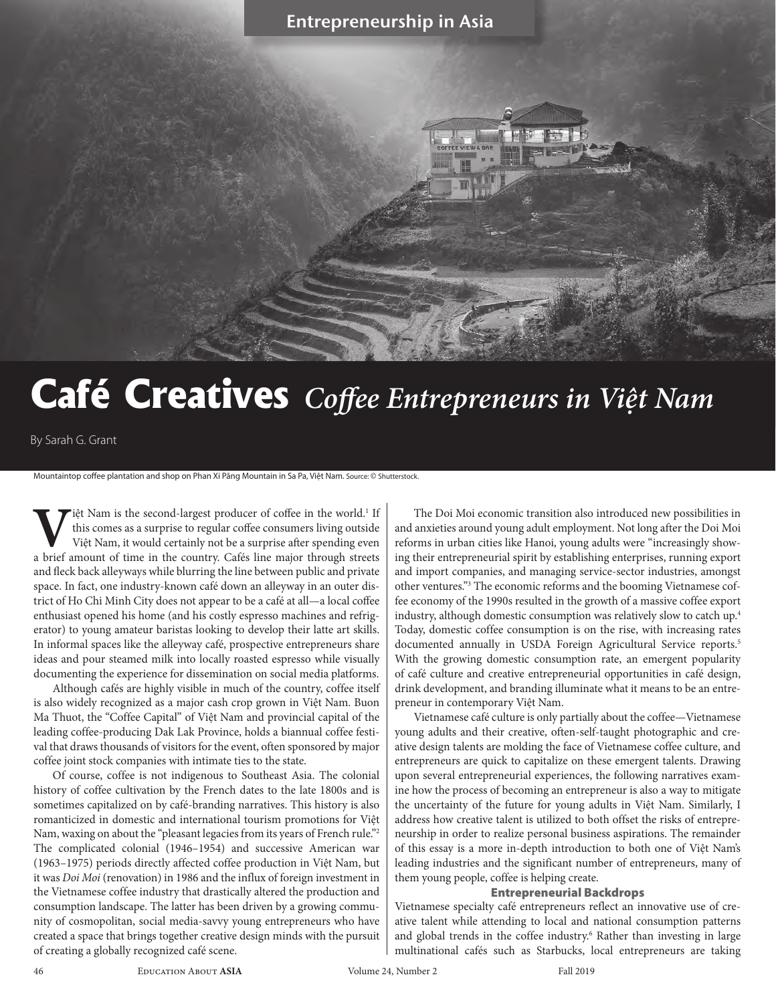## Entrepreneurship in Asia

# **Café Creatives** *Coffee Entrepreneurs in Việt Nam*

By Sarah G. Grant

Mountaintop coffee plantation and shop on Phan Xi Păng Mountain in Sa Pa, Việt Nam. Source: © Shutterstock.

**V**iệt Nam is the second-largest producer of coffee in the world.<sup>1</sup> this comes as a surprise to regular coffee consumers living outsi Việt Nam, it would certainly not be a surprise after spending evaluation of time in the liệt Nam is the second-largest producer of coffee in the world.<sup>1</sup> If this comes as a surprise to regular coffee consumers living outside Việt Nam, it would certainly not be a surprise after spending even a brief amount of time in the country. Cafés line major through streets and fleck back alleyways while blurring the line between public and private space. In fact, one industry-known café down an alleyway in an outer district of Ho Chi Minh City does not appear to be a café at all—a local coffee enthusiast opened his home (and his costly espresso machines and refrigerator) to young amateur baristas looking to develop their latte art skills. In informal spaces like the alleyway café, prospective entrepreneurs share ideas and pour steamed milk into locally roasted espresso while visually documenting the experience for dissemination on social media platforms.

Although cafés are highly visible in much of the country, coffee itself is also widely recognized as a major cash crop grown in Việt Nam. Buon Ma Thuot, the "Coffee Capital" of Việt Nam and provincial capital of the leading coffee-producing Dak Lak Province, holds a biannual coffee festival that draws thousands of visitors for the event, often sponsored by major coffee joint stock companies with intimate ties to the state.

Of course, coffee is not indigenous to Southeast Asia. The colonial history of coffee cultivation by the French dates to the late 1800s and is sometimes capitalized on by café-branding narratives. This history is also romanticized in domestic and international tourism promotions for Việt Nam, waxing on about the "pleasant legacies from its years of French rule."<sup>2</sup> The complicated colonial (1946–1954) and successive American war (1963–1975) periods directly affected coffee production in Việt Nam, but it was *Doi Moi* (renovation) in 1986 and the influx of foreign investment in the Vietnamese coffee industry that drastically altered the production and consumption landscape. The latter has been driven by a growing community of cosmopolitan, social media-savvy young entrepreneurs who have created a space that brings together creative design minds with the pursuit of creating a globally recognized café scene.

The Doi Moi economic transition also introduced new possibilities in and anxieties around young adult employment. Not long after the Doi Moi reforms in urban cities like Hanoi, young adults were "increasingly showing their entrepreneurial spirit by establishing enterprises, running export and import companies, and managing service-sector industries, amongst other ventures."3 The economic reforms and the booming Vietnamese coffee economy of the 1990s resulted in the growth of a massive coffee export industry, although domestic consumption was relatively slow to catch up.4 Today, domestic coffee consumption is on the rise, with increasing rates documented annually in USDA Foreign Agricultural Service reports.5 With the growing domestic consumption rate, an emergent popularity of café culture and creative entrepreneurial opportunities in café design, drink development, and branding illuminate what it means to be an entrepreneur in contemporary Việt Nam.

Vietnamese café culture is only partially about the coffee—Vietnamese young adults and their creative, often-self-taught photographic and creative design talents are molding the face of Vietnamese coffee culture, and entrepreneurs are quick to capitalize on these emergent talents. Drawing upon several entrepreneurial experiences, the following narratives examine how the process of becoming an entrepreneur is also a way to mitigate the uncertainty of the future for young adults in Việt Nam. Similarly, I address how creative talent is utilized to both offset the risks of entrepreneurship in order to realize personal business aspirations. The remainder of this essay is a more in-depth introduction to both one of Việt Nam's leading industries and the significant number of entrepreneurs, many of them young people, coffee is helping create.

#### Entrepreneurial Backdrops

Vietnamese specialty café entrepreneurs reflect an innovative use of creative talent while attending to local and national consumption patterns and global trends in the coffee industry.<sup>6</sup> Rather than investing in large multinational cafés such as Starbucks, local entrepreneurs are taking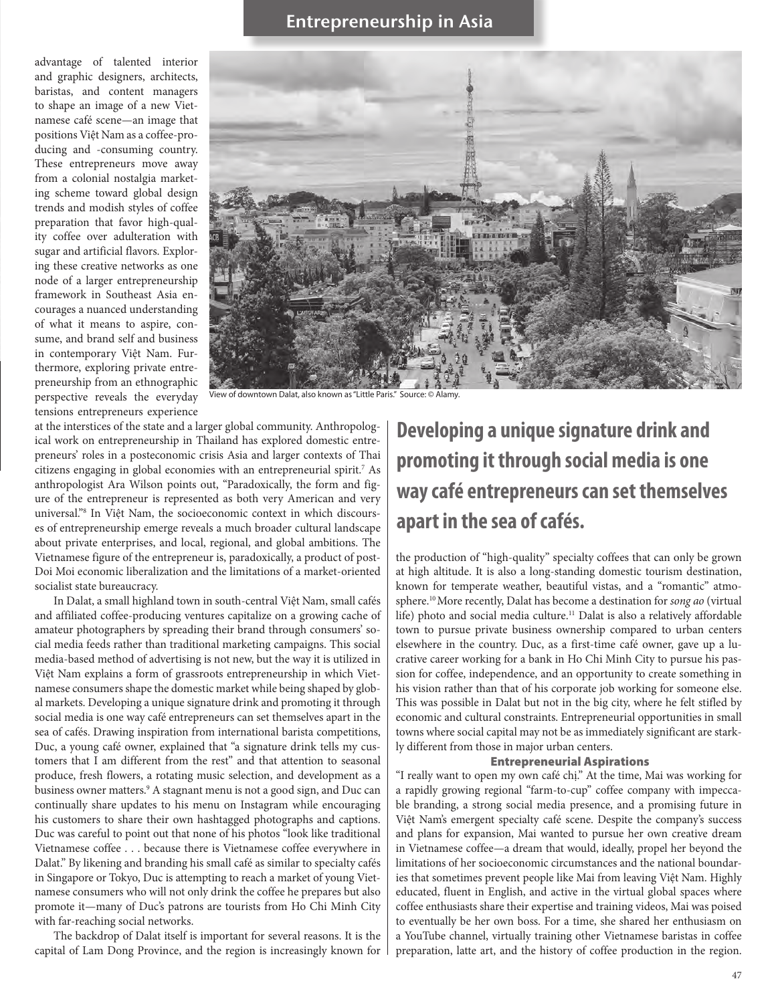advantage of talented interior and graphic designers, architects, baristas, and content managers to shape an image of a new Vietnamese café scene—an image that positions Việt Nam as a coffee-producing and -consuming country. These entrepreneurs move away from a colonial nostalgia marketing scheme toward global design trends and modish styles of coffee preparation that favor high-quality coffee over adulteration with sugar and artificial flavors. Exploring these creative networks as one node of a larger entrepreneurship framework in Southeast Asia encourages a nuanced understanding of what it means to aspire, consume, and brand self and business in contemporary Việt Nam. Furthermore, exploring private entrepreneurship from an ethnographic perspective reveals the everyday tensions entrepreneurs experience



iew of downtown Dalat, also known as "Little Paris." Source: © Alamy

at the interstices of the state and a larger global community. Anthropological work on entrepreneurship in Thailand has explored domestic entrepreneurs' roles in a posteconomic crisis Asia and larger contexts of Thai citizens engaging in global economies with an entrepreneurial spirit.7 As anthropologist Ara Wilson points out, "Paradoxically, the form and figure of the entrepreneur is represented as both very American and very universal."8 In Việt Nam, the socioeconomic context in which discourses of entrepreneurship emerge reveals a much broader cultural landscape about private enterprises, and local, regional, and global ambitions. The Vietnamese figure of the entrepreneur is, paradoxically, a product of post-Doi Moi economic liberalization and the limitations of a market-oriented socialist state bureaucracy.

In Dalat, a small highland town in south-central Việt Nam, small cafés and affiliated coffee-producing ventures capitalize on a growing cache of amateur photographers by spreading their brand through consumers' social media feeds rather than traditional marketing campaigns. This social media-based method of advertising is not new, but the way it is utilized in Việt Nam explains a form of grassroots entrepreneurship in which Vietnamese consumers shape the domestic market while being shaped by global markets. Developing a unique signature drink and promoting it through social media is one way café entrepreneurs can set themselves apart in the sea of cafés. Drawing inspiration from international barista competitions, Duc, a young café owner, explained that "a signature drink tells my customers that I am different from the rest" and that attention to seasonal produce, fresh flowers, a rotating music selection, and development as a business owner matters.<sup>9</sup> A stagnant menu is not a good sign, and Duc can continually share updates to his menu on Instagram while encouraging his customers to share their own hashtagged photographs and captions. Duc was careful to point out that none of his photos "look like traditional Vietnamese coffee . . . because there is Vietnamese coffee everywhere in Dalat." By likening and branding his small café as similar to specialty cafés in Singapore or Tokyo, Duc is attempting to reach a market of young Vietnamese consumers who will not only drink the coffee he prepares but also promote it—many of Duc's patrons are tourists from Ho Chi Minh City with far-reaching social networks.

The backdrop of Dalat itself is important for several reasons. It is the capital of Lam Dong Province, and the region is increasingly known for

## **Developing a unique signature drink and promoting it through social media is one way café entrepreneurs can set themselves apart in the sea of cafés.**

the production of "high-quality" specialty coffees that can only be grown at high altitude. It is also a long-standing domestic tourism destination, known for temperate weather, beautiful vistas, and a "romantic" atmosphere.10 More recently, Dalat has become a destination for *song ao* (virtual life) photo and social media culture.<sup>11</sup> Dalat is also a relatively affordable town to pursue private business ownership compared to urban centers elsewhere in the country. Duc, as a first-time café owner, gave up a lucrative career working for a bank in Ho Chi Minh City to pursue his passion for coffee, independence, and an opportunity to create something in his vision rather than that of his corporate job working for someone else. This was possible in Dalat but not in the big city, where he felt stifled by economic and cultural constraints. Entrepreneurial opportunities in small towns where social capital may not be as immediately significant are starkly different from those in major urban centers.

#### Entrepreneurial Aspirations

"I really want to open my own café chị." At the time, Mai was working for a rapidly growing regional "farm-to-cup" coffee company with impeccable branding, a strong social media presence, and a promising future in Việt Nam's emergent specialty café scene. Despite the company's success and plans for expansion, Mai wanted to pursue her own creative dream in Vietnamese coffee—a dream that would, ideally, propel her beyond the limitations of her socioeconomic circumstances and the national boundaries that sometimes prevent people like Mai from leaving Việt Nam. Highly educated, fluent in English, and active in the virtual global spaces where coffee enthusiasts share their expertise and training videos, Mai was poised to eventually be her own boss. For a time, she shared her enthusiasm on a YouTube channel, virtually training other Vietnamese baristas in coffee preparation, latte art, and the history of coffee production in the region.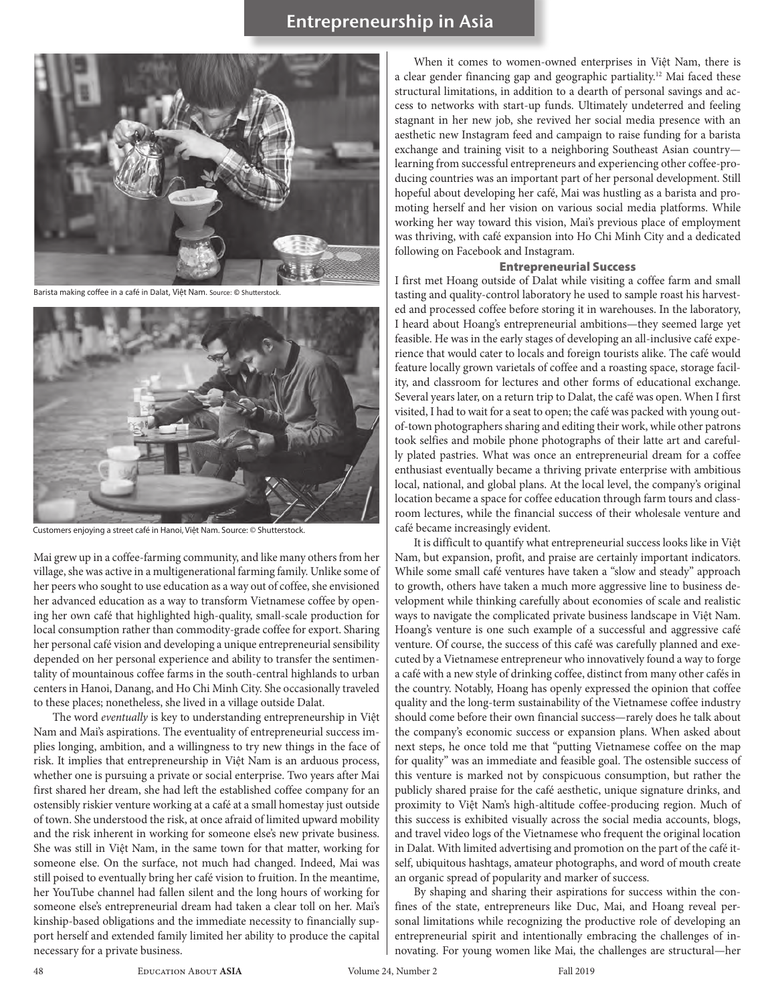## **Entrepreneurship in Asia**



Barista making coffee in a café in Dalat, Viêt Nam. Source: © Shutterstock



Customers enjoying a street café in Hanoi, Việt Nam. Source: © Shutterstock.

Mai grew up in a coffee-farming community, and like many others from her village, she was active in a multigenerational farming family. Unlike some of her peers who sought to use education as a way out of coffee, she envisioned her advanced education as a way to transform Vietnamese coffee by opening her own café that highlighted high-quality, small-scale production for local consumption rather than commodity-grade coffee for export. Sharing her personal café vision and developing a unique entrepreneurial sensibility depended on her personal experience and ability to transfer the sentimentality of mountainous coffee farms in the south-central highlands to urban centers in Hanoi, Danang, and Ho Chi Minh City. She occasionally traveled to these places; nonetheless, she lived in a village outside Dalat.

The word *eventually* is key to understanding entrepreneurship in Việt Nam and Mai's aspirations. The eventuality of entrepreneurial success implies longing, ambition, and a willingness to try new things in the face of risk. It implies that entrepreneurship in Việt Nam is an arduous process, whether one is pursuing a private or social enterprise. Two years after Mai first shared her dream, she had left the established coffee company for an ostensibly riskier venture working at a café at a small homestay just outside of town. She understood the risk, at once afraid of limited upward mobility and the risk inherent in working for someone else's new private business. She was still in Việt Nam, in the same town for that matter, working for someone else. On the surface, not much had changed. Indeed, Mai was still poised to eventually bring her café vision to fruition. In the meantime, her YouTube channel had fallen silent and the long hours of working for someone else's entrepreneurial dream had taken a clear toll on her. Mai's kinship-based obligations and the immediate necessity to financially support herself and extended family limited her ability to produce the capital necessary for a private business.

When it comes to women-owned enterprises in Việt Nam, there is a clear gender financing gap and geographic partiality.<sup>12</sup> Mai faced these structural limitations, in addition to a dearth of personal savings and access to networks with start-up funds. Ultimately undeterred and feeling stagnant in her new job, she revived her social media presence with an aesthetic new Instagram feed and campaign to raise funding for a barista exchange and training visit to a neighboring Southeast Asian country learning from successful entrepreneurs and experiencing other coffee-producing countries was an important part of her personal development. Still hopeful about developing her café, Mai was hustling as a barista and promoting herself and her vision on various social media platforms. While working her way toward this vision, Mai's previous place of employment was thriving, with café expansion into Ho Chi Minh City and a dedicated following on Facebook and Instagram.

#### Entrepreneurial Success

I first met Hoang outside of Dalat while visiting a coffee farm and small tasting and quality-control laboratory he used to sample roast his harvested and processed coffee before storing it in warehouses. In the laboratory, I heard about Hoang's entrepreneurial ambitions—they seemed large yet feasible. He was in the early stages of developing an all-inclusive café experience that would cater to locals and foreign tourists alike. The café would feature locally grown varietals of coffee and a roasting space, storage facility, and classroom for lectures and other forms of educational exchange. Several years later, on a return trip to Dalat, the café was open. When I first visited, I had to wait for a seat to open; the café was packed with young outof-town photographers sharing and editing their work, while other patrons took selfies and mobile phone photographs of their latte art and carefully plated pastries. What was once an entrepreneurial dream for a coffee enthusiast eventually became a thriving private enterprise with ambitious local, national, and global plans. At the local level, the company's original location became a space for coffee education through farm tours and classroom lectures, while the financial success of their wholesale venture and café became increasingly evident.

It is difficult to quantify what entrepreneurial success looks like in Việt Nam, but expansion, profit, and praise are certainly important indicators. While some small café ventures have taken a "slow and steady" approach to growth, others have taken a much more aggressive line to business development while thinking carefully about economies of scale and realistic ways to navigate the complicated private business landscape in Việt Nam. Hoang's venture is one such example of a successful and aggressive café venture. Of course, the success of this café was carefully planned and executed by a Vietnamese entrepreneur who innovatively found a way to forge a café with a new style of drinking coffee, distinct from many other cafés in the country. Notably, Hoang has openly expressed the opinion that coffee quality and the long-term sustainability of the Vietnamese coffee industry should come before their own financial success—rarely does he talk about the company's economic success or expansion plans. When asked about next steps, he once told me that "putting Vietnamese coffee on the map for quality" was an immediate and feasible goal. The ostensible success of this venture is marked not by conspicuous consumption, but rather the publicly shared praise for the café aesthetic, unique signature drinks, and proximity to Việt Nam's high-altitude coffee-producing region. Much of this success is exhibited visually across the social media accounts, blogs, and travel video logs of the Vietnamese who frequent the original location in Dalat. With limited advertising and promotion on the part of the café itself, ubiquitous hashtags, amateur photographs, and word of mouth create an organic spread of popularity and marker of success.

By shaping and sharing their aspirations for success within the confines of the state, entrepreneurs like Duc, Mai, and Hoang reveal personal limitations while recognizing the productive role of developing an entrepreneurial spirit and intentionally embracing the challenges of innovating. For young women like Mai, the challenges are structural—her